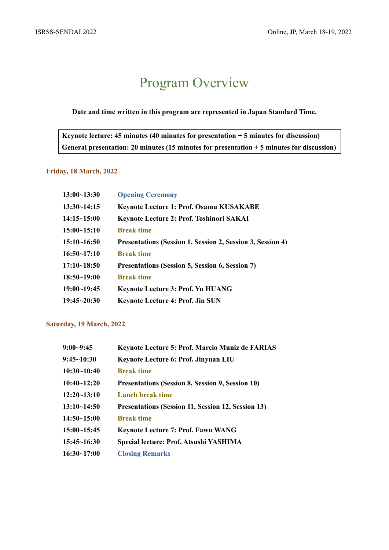### Program Overview

#### **Date and time written in this program are represented in Japan Standard Time.**

**Keynote lecture: 45 minutes (40 minutes for presentation + 5 minutes for discussion) General presentation: 20 minutes (15 minutes for presentation + 5 minutes for discussion)** 

#### **Friday, 18 March, 2022**

| $13:00 - 13:30$ | <b>Opening Ceremony</b>                                    |
|-----------------|------------------------------------------------------------|
| $13:30-14:15$   | <b>Keynote Lecture 1: Prof. Osamu KUSAKABE</b>             |
| $14:15 - 15:00$ | Keynote Lecture 2: Prof. Toshinori SAKAI                   |
| $15:00-15:10$   | <b>Break time</b>                                          |
| $15:10-16:50$   | Presentations (Session 1, Session 2, Session 3, Session 4) |
| 16:50~17:10     | <b>Break time</b>                                          |
| $17:10 - 18:50$ | Presentations (Session 5, Session 6, Session 7)            |
| $18:50 - 19:00$ | <b>Break time</b>                                          |
| 19:00~19:45     | Keynote Lecture 3: Prof. Yu HUANG                          |
| $19:45 - 20:30$ | <b>Keynote Lecture 4: Prof. Jin SUN</b>                    |

#### **Saturday, 19 March, 2022**

| $9:00 - 9:45$ | <b>Keynote Lecture 5: Prof. Marcio Muniz de FARIAS</b>  |
|---------------|---------------------------------------------------------|
| $9:45-10:30$  | Keynote Lecture 6: Prof. Jinyuan LIU                    |
| 10:30~10:40   | <b>Break time</b>                                       |
| 10:40~12:20   | <b>Presentations (Session 8, Session 9, Session 10)</b> |
| $12:20-13:10$ | Lunch break time                                        |
| 13:10~14:50   | Presentations (Session 11, Session 12, Session 13)      |
| $14:50-15:00$ | <b>Break time</b>                                       |
| 15:00~15:45   | <b>Keynote Lecture 7: Prof. Fawu WANG</b>               |
| 15:45~16:30   | Special lecture: Prof. Atsushi YASHIMA                  |
| $16:30-17:00$ | <b>Closing Remarks</b>                                  |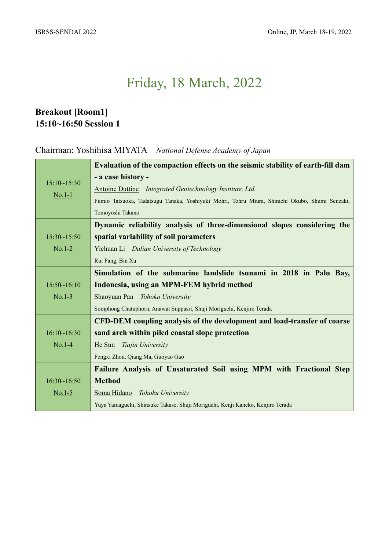### **Breakout [Room1] 15:10~16:50 Session 1**

Chairman: Yoshihisa MIYATA *National Defense Academy of Japan*

|             | Evaluation of the compaction effects on the seismic stability of earth-fill dam                |
|-------------|------------------------------------------------------------------------------------------------|
|             | - a case history -                                                                             |
| 15:10~15:30 | Antoine Duttine <i>Integrated Geotechnology Institute</i> , <i>Ltd.</i>                        |
| $No.1-1$    | Fumio Tatsuoka, Tadatsugu Tanaka, Yoshiyuki Mohri, Tohru Miura, Shinichi Okubo, Shumi Senzaki, |
|             | Tomoyoshi Takano                                                                               |
|             | Dynamic reliability analysis of three-dimensional slopes considering the                       |
| 15:30~15:50 | spatial variability of soil parameters                                                         |
| $No.1-2$    | Yichuan Li Dalian University of Technology                                                     |
|             | Rui Pang, Bin Xu                                                                               |
|             | Simulation of the submarine landslide tsunami in 2018 in Palu Bay,                             |
| 15:50~16:10 | Indonesia, using an MPM-FEM hybrid method                                                      |
| $No.1-3$    | Shaoyuan Pan Tohoku University                                                                 |
|             | Somphong Chatuphorn, Anawat Suppasri, Shuji Moriguchi, Kenjiro Terada                          |
|             | CFD-DEM coupling analysis of the development and load-transfer of coarse                       |
| 16:10~16:30 | sand arch within piled coastal slope protection                                                |
| $No.1-4$    | He Sun<br>Tiajin University                                                                    |
|             | Fengxi Zhou, Qiang Ma, Guoyao Gao                                                              |
|             | Failure Analysis of Unsaturated Soil using MPM with Fractional Step                            |
| 16:30~16:50 | <b>Method</b>                                                                                  |
| $No.1-5$    | Tohoku University<br>Soma Hidano                                                               |
|             | Yuya Yamaguchi, Shinsuke Takase, Shuji Moriguchi, Kenji Kaneko, Kenjiro Terada                 |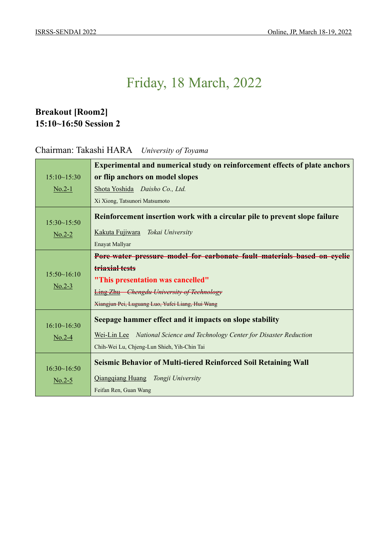### **Breakout [Room2] 15:10~16:50 Session 2**

### Chairman: Takashi HARA *University of Toyama*

|             | <b>Experimental and numerical study on reinforcement effects of plate anchors</b> |
|-------------|-----------------------------------------------------------------------------------|
| 15:10~15:30 | or flip anchors on model slopes                                                   |
| $No.2-1$    | Shota Yoshida Daisho Co., Ltd.                                                    |
|             | Xi Xiong, Tatsunori Matsumoto                                                     |
| 15:30~15:50 | Reinforcement insertion work with a circular pile to prevent slope failure        |
| $No.2-2$    | Kakuta Fujiwara<br>Tokai University                                               |
|             | Enayat Mallyar                                                                    |
|             | Pore-water pressure model for earbonate fault materials based on cyclic           |
| 15:50~16:10 | triaxial tests                                                                    |
|             | "This presentation was cancelled"                                                 |
| $No.2-3$    | <b>Ling Zhu</b> Chengdu University of Technology                                  |
|             | Xiangjun Pei, Luguang Luo, Yufei Liang, Hui Wang                                  |
| 16:10~16:30 | Seepage hammer effect and it impacts on slope stability                           |
| $No.2-4$    | Wei-Lin Lee National Science and Technology Center for Disaster Reduction         |
|             | Chih-Wei Lu, Chjeng-Lun Shieh, Yih-Chin Tai                                       |
| 16:30~16:50 | <b>Seismic Behavior of Multi-tiered Reinforced Soil Retaining Wall</b>            |
| $No.2-5$    | Qiangqiang Huang Tongji University                                                |
|             | Feifan Ren, Guan Wang                                                             |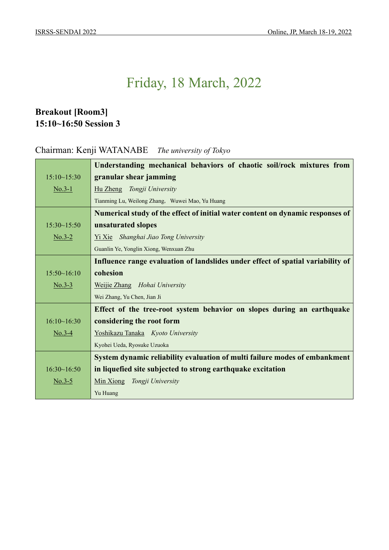### **Breakout [Room3] 15:10~16:50 Session 3**

### Chairman: Kenji WATANABE *The university of Tokyo*

|             | Understanding mechanical behaviors of chaotic soil/rock mixtures from           |
|-------------|---------------------------------------------------------------------------------|
| 15:10~15:30 | granular shear jamming                                                          |
| $No.3-1$    | Hu Zheng Tongji University                                                      |
|             | Tianming Lu, Weilong Zhang, Wuwei Mao, Yu Huang                                 |
|             | Numerical study of the effect of initial water content on dynamic responses of  |
| 15:30~15:50 | unsaturated slopes                                                              |
| $No.3-2$    | Yi Xie Shanghai Jiao Tong University                                            |
|             | Guanlin Ye, Yonglin Xiong, Wenxuan Zhu                                          |
|             | Influence range evaluation of landslides under effect of spatial variability of |
| 15:50~16:10 | cohesion                                                                        |
| $No.3-3$    | Weijie Zhang Hohai University                                                   |
|             | Wei Zhang, Yu Chen, Jian Ji                                                     |
|             | Effect of the tree-root system behavior on slopes during an earthquake          |
| 16:10~16:30 | considering the root form                                                       |
| $No.3-4$    | Yoshikazu Tanaka Kyoto University                                               |
|             | Kyohei Ueda, Ryosuke Uzuoka                                                     |
|             | System dynamic reliability evaluation of multi failure modes of embankment      |
| 16:30~16:50 | in liquefied site subjected to strong earthquake excitation                     |
| $No.3-5$    | Min Xiong<br>Tongji University                                                  |
|             | Yu Huang                                                                        |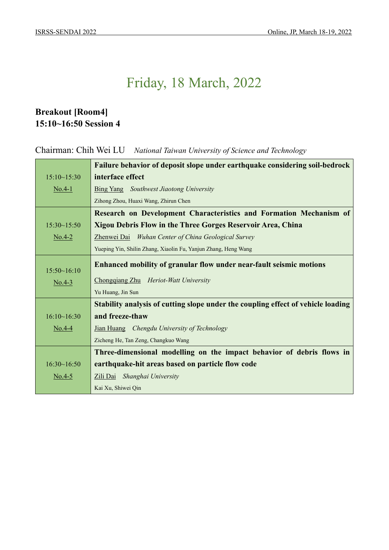### **Breakout [Room4] 15:10~16:50 Session 4**

Chairman: Chih Wei LU *National Taiwan University of Science and Technology*

|             | Failure behavior of deposit slope under earthquake considering soil-bedrock      |
|-------------|----------------------------------------------------------------------------------|
| 15:10~15:30 | interface effect                                                                 |
| $No.4-1$    | Bing Yang Southwest Jiaotong University                                          |
|             | Zihong Zhou, Huaxi Wang, Zhirun Chen                                             |
|             | Research on Development Characteristics and Formation Mechanism of               |
| 15:30~15:50 | <b>Xigou Debris Flow in the Three Gorges Reservoir Area, China</b>               |
| $No.4-2$    | Zhenwei Dai Wuhan Center of China Geological Survey                              |
|             | Yueping Yin, Shilin Zhang, Xiaolin Fu, Yanjun Zhang, Heng Wang                   |
|             | Enhanced mobility of granular flow under near-fault seismic motions              |
| 15:50~16:10 |                                                                                  |
| $No.4-3$    | Chongqiang Zhu Heriot-Watt University                                            |
|             | Yu Huang, Jin Sun                                                                |
|             | Stability analysis of cutting slope under the coupling effect of vehicle loading |
| 16:10~16:30 | and freeze-thaw                                                                  |
| $No.4-4$    | Jian Huang Chengdu University of Technology                                      |
|             | Zicheng He, Tan Zeng, Changkuo Wang                                              |
|             | Three-dimensional modelling on the impact behavior of debris flows in            |
| 16:30~16:50 | earthquake-hit areas based on particle flow code                                 |
| $No.4-5$    | Zili Dai<br>Shanghai University                                                  |
|             | Kai Xu, Shiwei Qin                                                               |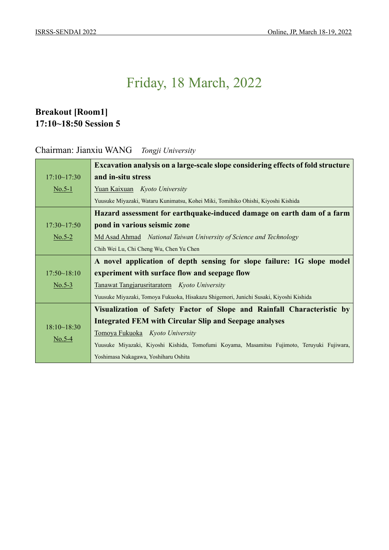### **Breakout [Room1] 17:10~18:50 Session 5**

#### Chairman: Jianxiu WANG *Tongji University*

|                             | <b>Excavation analysis on a large-scale slope considering effects of fold structure</b>    |
|-----------------------------|--------------------------------------------------------------------------------------------|
| 17:10~17:30                 | and in-situ stress                                                                         |
|                             |                                                                                            |
| $\underline{\text{No.5-1}}$ | Yuan Kaixuan Kyoto University                                                              |
|                             | Yuusuke Miyazaki, Wataru Kunimatsu, Kohei Miki, Tomihiko Ohishi, Kiyoshi Kishida           |
|                             | Hazard assessment for earthquake-induced damage on earth dam of a farm                     |
| 17:30~17:50                 | pond in various seismic zone                                                               |
| $\underline{\text{No.5-2}}$ | Md Asad Ahmad National Taiwan University of Science and Technology                         |
|                             | Chih Wei Lu, Chi Cheng Wu, Chen Yu Chen                                                    |
|                             | A novel application of depth sensing for slope failure: 1G slope model                     |
| 17:50~18:10                 | experiment with surface flow and seepage flow                                              |
| $\underline{\text{No.5-3}}$ | Tanawat Tangjarusritaratorn Kyoto University                                               |
|                             | Yuusuke Miyazaki, Tomoya Fukuoka, Hisakazu Shigemori, Junichi Susaki, Kiyoshi Kishida      |
|                             | Visualization of Safety Factor of Slope and Rainfall Characteristic by                     |
|                             | <b>Integrated FEM with Circular Slip and Seepage analyses</b>                              |
| 18:10~18:30                 | Tomoya Fukuoka Kyoto University                                                            |
| $\underline{\text{No.5-4}}$ | Yuusuke Miyazaki, Kiyoshi Kishida, Tomofumi Koyama, Masamitsu Fujimoto, Teruyuki Fujiwara, |
|                             | Yoshimasa Nakagawa, Yoshiharu Oshita                                                       |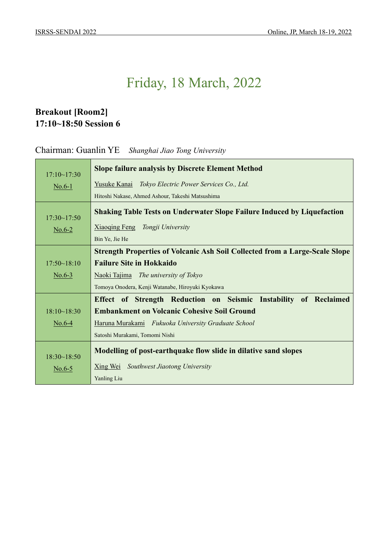### **Breakout [Room2] 17:10~18:50 Session 6**

Chairman: Guanlin YE *Shanghai Jiao Tong University*

| 17:10~17:30 | <b>Slope failure analysis by Discrete Element Method</b>                           |
|-------------|------------------------------------------------------------------------------------|
| $N0.6-1$    | Yusuke Kanai<br>Tokyo Electric Power Services Co., Ltd.                            |
|             | Hitoshi Nakase, Ahmed Ashour, Takeshi Matsushima                                   |
| 17:30~17:50 | <b>Shaking Table Tests on Underwater Slope Failure Induced by Liquefaction</b>     |
| $No.6-2$    | Xiaoqing Feng Tongji University                                                    |
|             | Bin Ye, Jie He                                                                     |
|             | <b>Strength Properties of Volcanic Ash Soil Collected from a Large-Scale Slope</b> |
| 17:50~18:10 | <b>Failure Site in Hokkaido</b>                                                    |
| $N0.6-3$    | Naoki Tajima The university of Tokyo                                               |
|             | Tomoya Onodera, Kenji Watanabe, Hiroyuki Kyokawa                                   |
|             | Effect of Strength Reduction on Seismic Instability of Reclaimed                   |
| 18:10~18:30 | <b>Embankment on Volcanic Cohesive Soil Ground</b>                                 |
| $No.6-4$    | Haruna Murakami Fukuoka University Graduate School                                 |
|             | Satoshi Murakami, Tomomi Nishi                                                     |
| 18:30~18:50 | Modelling of post-earthquake flow slide in dilative sand slopes                    |
| $No.6-5$    | Xing Wei<br>Southwest Jiaotong University                                          |
|             | Yanling Liu                                                                        |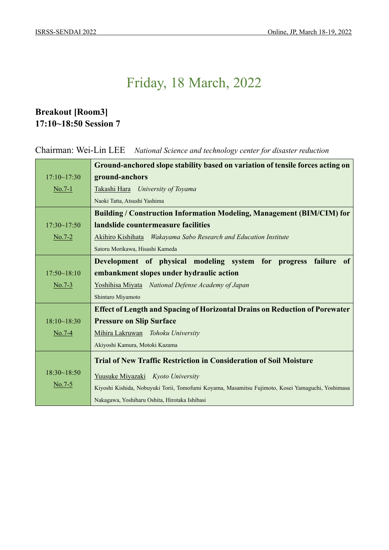### **Breakout [Room3] 17:10~18:50 Session 7**

Chairman: Wei-Lin LEE *National Science and technology center for disaster reduction*

|                             | Ground-anchored slope stability based on variation of tensile forces acting on                   |
|-----------------------------|--------------------------------------------------------------------------------------------------|
| 17:10~17:30                 | ground-anchors                                                                                   |
| $\underline{\text{No.7-1}}$ | Takashi Hara University of Toyama                                                                |
|                             | Naoki Tatta, Atsushi Yashima                                                                     |
|                             | <b>Building / Construction Information Modeling, Management (BIM/CIM) for</b>                    |
| 17:30~17:50                 | landslide countermeasure facilities                                                              |
| $No.7-2$                    | Akihiro Kishihata Wakayama Sabo Research and Education Institute                                 |
|                             | Satoru Morikawa, Hisashi Kameda                                                                  |
|                             | Development of physical modeling system for progress failure<br>of                               |
| 17:50~18:10                 | embankment slopes under hydraulic action                                                         |
| $No.7-3$                    | Yoshihisa Miyata National Defense Academy of Japan                                               |
|                             | Shintaro Miyamoto                                                                                |
|                             | <b>Effect of Length and Spacing of Horizontal Drains on Reduction of Porewater</b>               |
| 18:10~18:30                 | <b>Pressure on Slip Surface</b>                                                                  |
| $No.7-4$                    | Mihira Lakruwan Tohoku University                                                                |
|                             | Akiyoshi Kamura, Motoki Kazama                                                                   |
|                             | <b>Trial of New Traffic Restriction in Consideration of Soil Moisture</b>                        |
| 18:30~18:50                 | Yuusuke Miyazaki Kyoto University                                                                |
| $N0.7-5$                    | Kiyoshi Kishida, Nobuyuki Torii, Tomofumi Koyama, Masamitsu Fujimoto, Kosei Yamaguchi, Yoshimasa |
|                             | Nakagawa, Yoshiharu Oshita, Hirotaka Ishibasi                                                    |
|                             |                                                                                                  |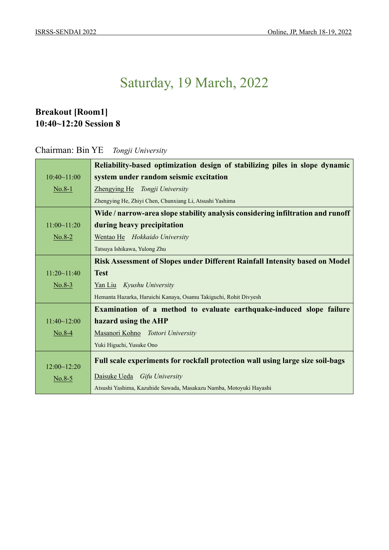### **Breakout [Room1] 10:40~12:20 Session 8**

Chairman: Bin YE *Tongji University*

|             | Reliability-based optimization design of stabilizing piles in slope dynamic     |
|-------------|---------------------------------------------------------------------------------|
| 10:40~11:00 | system under random seismic excitation                                          |
| $No.8-1$    | Zhengying He Tongji University                                                  |
|             | Zhengying He, Zhiyi Chen, Chunxiang Li, Atsushi Yashima                         |
|             | Wide / narrow-area slope stability analysis considering infiltration and runoff |
| 11:00~11:20 | during heavy precipitation                                                      |
| $No.8-2$    | Wentao He Hokkaido University                                                   |
|             | Tatsuya Ishikawa, Yulong Zhu                                                    |
|             | Risk Assessment of Slopes under Different Rainfall Intensity based on Model     |
| 11:20~11:40 | <b>Test</b>                                                                     |
| $No.8-3$    | Yan Liu Kyushu University                                                       |
|             | Hemanta Hazarka, Haruichi Kanaya, Osamu Takiguchi, Rohit Divyesh                |
|             | Examination of a method to evaluate earthquake-induced slope failure            |
| 11:40~12:00 | hazard using the AHP                                                            |
| $No.8-4$    | Masanori Kohno Tottori University                                               |
|             | Yuki Higuchi, Yusuke Ono                                                        |
| 12:00~12:20 | Full scale experiments for rockfall protection wall using large size soil-bags  |
| $N0.8-5$    | Daisuke Ueda Gifu University                                                    |
|             | Atsushi Yashima, Kazuhide Sawada, Masakazu Namba, Motoyuki Hayashi              |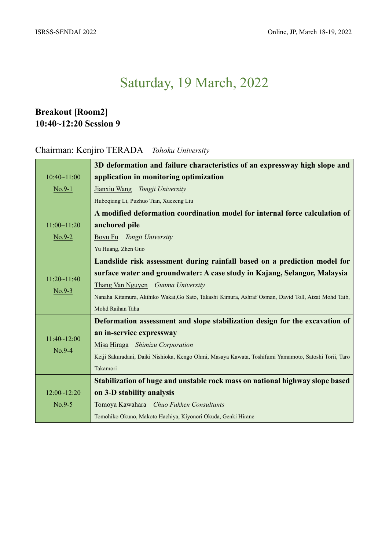### **Breakout [Room2] 10:40~12:20 Session 9**

### Chairman: Kenjiro TERADA *Tohoku University*

|                         | 3D deformation and failure characteristics of an expressway high slope and                           |
|-------------------------|------------------------------------------------------------------------------------------------------|
| 10:40~11:00             | application in monitoring optimization                                                               |
| $No.9-1$                | Jianxiu Wang Tongji University                                                                       |
|                         | Huboqiang Li, Puzhuo Tian, Xuezeng Liu                                                               |
|                         | A modified deformation coordination model for internal force calculation of                          |
| 11:00~11:20             | anchored pile                                                                                        |
| $No.9-2$                | Boyu Fu Tongji University                                                                            |
|                         | Yu Huang, Zhen Guo                                                                                   |
|                         | Landslide risk assessment during rainfall based on a prediction model for                            |
| 11:20~11:40             | surface water and groundwater: A case study in Kajang, Selangor, Malaysia                            |
|                         | Thang Van Nguyen Gunma University                                                                    |
| $No.9-3$                | Nanaha Kitamura, Akihiko Wakai, Go Sato, Takashi Kimura, Ashraf Osman, David Toll, Aizat Mohd Taib,  |
|                         | Mohd Raihan Taha                                                                                     |
|                         | Deformation assessment and slope stabilization design for the excavation of                          |
|                         | an in-service expressway                                                                             |
| 11:40~12:00<br>$No.9-4$ | Misa Hiraga Shimizu Corporation                                                                      |
|                         | Keiji Sakuradani, Daiki Nishioka, Kengo Ohmi, Masaya Kawata, Toshifumi Yamamoto, Satoshi Torii, Taro |
|                         | Takamori                                                                                             |
|                         | Stabilization of huge and unstable rock mass on national highway slope based                         |
| 12:00~12:20             | on 3-D stability analysis                                                                            |
| $N0.9-5$                | Tomoya Kawahara Chuo Fukken Consultants                                                              |
|                         | Tomohiko Okuno, Makoto Hachiya, Kiyonori Okuda, Genki Hirane                                         |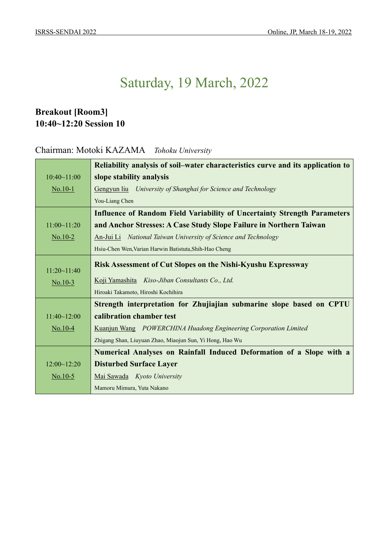### **Breakout [Room3] 10:40~12:20 Session 10**

#### Chairman: Motoki KAZAMA *Tohoku University*

|             | Reliability analysis of soil–water characteristics curve and its application to |
|-------------|---------------------------------------------------------------------------------|
| 10:40~11:00 | slope stability analysis                                                        |
| $No.10-1$   | Gengyun liu University of Shanghai for Science and Technology                   |
|             | You-Liang Chen                                                                  |
|             | <b>Influence of Random Field Variability of Uncertainty Strength Parameters</b> |
| 11:00~11:20 | and Anchor Stresses: A Case Study Slope Failure in Northern Taiwan              |
| $No.10-2$   | An-Jui Li National Taiwan University of Science and Technology                  |
|             | Hsiu-Chen Wen, Varian Harwin Batistuta, Shih-Hao Cheng                          |
|             | <b>Risk Assessment of Cut Slopes on the Nishi-Kyushu Expressway</b>             |
| 11:20~11:40 |                                                                                 |
| $No.10-3$   | Koji Yamashita Kiso-Jiban Consultants Co., Ltd.                                 |
|             | Hiroaki Takamoto, Hiroshi Kochihira                                             |
|             | Strength interpretation for Zhujiajian submarine slope based on CPTU            |
| 11:40~12:00 | calibration chamber test                                                        |
| $No.10-4$   | Kuanjun Wang POWERCHINA Huadong Engineering Corporation Limited                 |
|             | Zhigang Shan, Liuyuan Zhao, Miaojun Sun, Yi Hong, Hao Wu                        |
|             | Numerical Analyses on Rainfall Induced Deformation of a Slope with a            |
| 12:00~12:20 | <b>Disturbed Surface Layer</b>                                                  |
| No.10-5     | Mai Sawada Kyoto University                                                     |
|             | Mamoru Mimura, Yuta Nakano                                                      |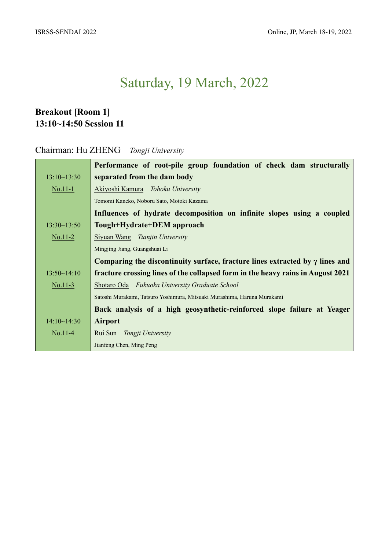### **Breakout [Room 1] 13:10~14:50 Session 11**

#### Chairman: Hu ZHENG *Tongji University*

|                              | Performance of root-pile group foundation of check dam structurally                 |  |
|------------------------------|-------------------------------------------------------------------------------------|--|
| 13:10~13:30                  | separated from the dam body                                                         |  |
| $\underline{\text{No}.11-1}$ | Akiyoshi Kamura Tohoku University                                                   |  |
|                              | Tomomi Kaneko, Noboru Sato, Motoki Kazama                                           |  |
|                              | Influences of hydrate decomposition on infinite slopes using a coupled              |  |
| 13:30~13:50                  | Tough+Hydrate+DEM approach                                                          |  |
| $\underline{\text{No}.11-2}$ | Siyuan Wang Tianjin University                                                      |  |
|                              | Mingjing Jiang, Guangshuai Li                                                       |  |
|                              | Comparing the discontinuity surface, fracture lines extracted by $\gamma$ lines and |  |
| 13:50~14:10                  | fracture crossing lines of the collapsed form in the heavy rains in August 2021     |  |
| $No.11-3$                    | Shotaro Oda Fukuoka University Graduate School                                      |  |
|                              | Satoshi Murakami, Tatsuro Yoshimura, Mitsuaki Murashima, Haruna Murakami            |  |
|                              | Back analysis of a high geosynthetic-reinforced slope failure at Yeager             |  |
| 14:10~14:30                  | <b>Airport</b>                                                                      |  |
| $No.11-4$                    | Rui Sun Tongji University                                                           |  |
|                              | Jianfeng Chen, Ming Peng                                                            |  |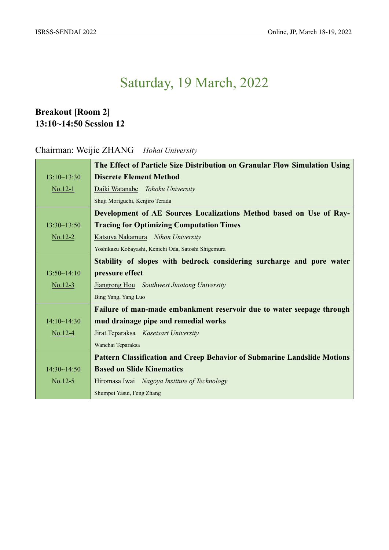### **Breakout [Room 2] 13:10~14:50 Session 12**

### Chairman: Weijie ZHANG *Hohai University*

|             | The Effect of Particle Size Distribution on Granular Flow Simulation Using      |  |
|-------------|---------------------------------------------------------------------------------|--|
| 13:10~13:30 | <b>Discrete Element Method</b>                                                  |  |
| $No.12-1$   | Daiki Watanabe Tohoku University                                                |  |
|             | Shuji Moriguchi, Kenjiro Terada                                                 |  |
|             | Development of AE Sources Localizations Method based on Use of Ray-             |  |
| 13:30~13:50 | <b>Tracing for Optimizing Computation Times</b>                                 |  |
| $No.12-2$   | Katsuya Nakamura Nihon University                                               |  |
|             | Yoshikazu Kobayashi, Kenichi Oda, Satoshi Shigemura                             |  |
|             | Stability of slopes with bedrock considering surcharge and pore water           |  |
| 13:50~14:10 | pressure effect                                                                 |  |
| $No.12-3$   | Jiangrong Hou Southwest Jiaotong University                                     |  |
|             | Bing Yang, Yang Luo                                                             |  |
|             | Failure of man-made embankment reservoir due to water seepage through           |  |
| 14:10~14:30 | mud drainage pipe and remedial works                                            |  |
| $No.12-4$   | Jirat Teparaksa Kasetsart University                                            |  |
|             | Wanchai Teparaksa                                                               |  |
|             | <b>Pattern Classification and Creep Behavior of Submarine Landslide Motions</b> |  |
| 14:30~14:50 | <b>Based on Slide Kinematics</b>                                                |  |
| $No.12-5$   | Hiromasa Iwai Nagoya Institute of Technology                                    |  |
|             | Shumpei Yasui, Feng Zhang                                                       |  |